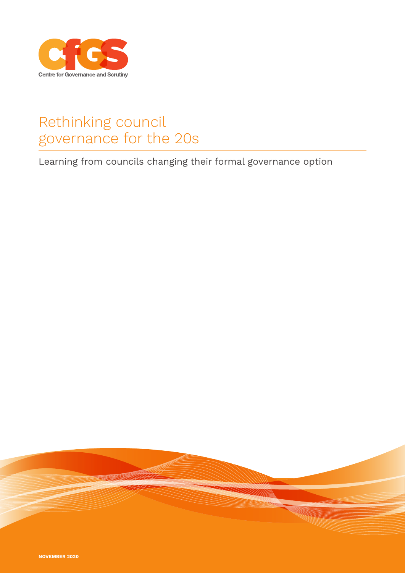

# Rethinking council governance for the 20s

Learning from councils changing their formal governance option

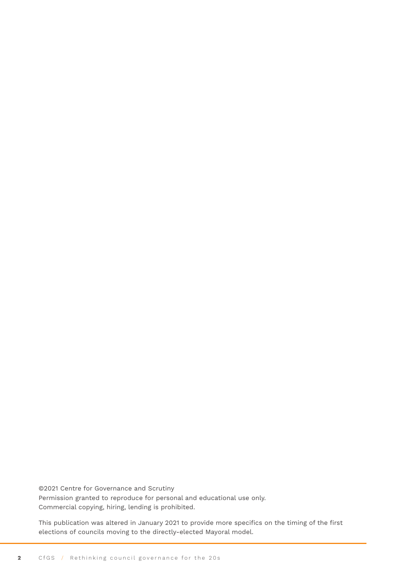©2021 Centre for Governance and Scrutiny Permission granted to reproduce for personal and educational use only. Commercial copying, hiring, lending is prohibited.

This publication was altered in January 2021 to provide more specifics on the timing of the first elections of councils moving to the directly-elected Mayoral model.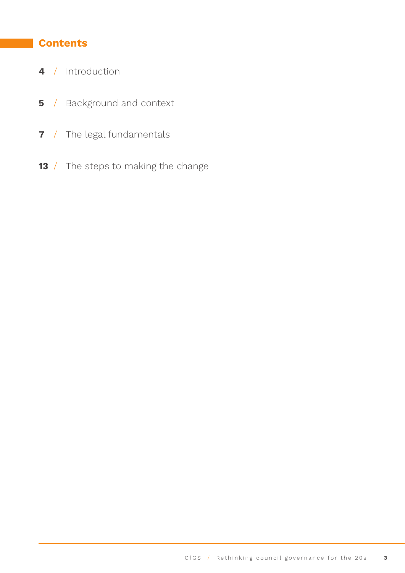### **Contents**

- / [Introduction](#page-3-0)
- / [Background and context](#page-4-0)
- / [The legal fundamentals](#page-6-0)
- / [The steps to making the change](#page-12-0)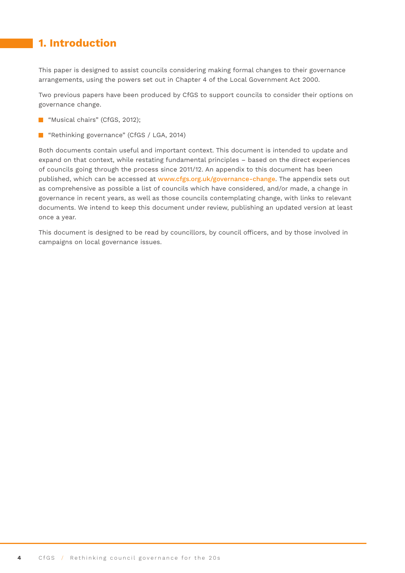### <span id="page-3-0"></span>**1. Introduction**

This paper is designed to assist councils considering making formal changes to their governance arrangements, using the powers set out in Chapter 4 of the Local Government Act 2000.

Two previous papers have been produced by CfGS to support councils to consider their options on governance change.

- **Musical chairs" (CfGS, 2012);**
- **E** "Rethinking governance" (CfGS / LGA, 2014)

Both documents contain useful and important context. This document is intended to update and expand on that context, while restating fundamental principles – based on the direct experiences of councils going through the process since 2011/12. An appendix to this document has been published, which can be accessed at [www.cfgs.org.uk/governance-change](http://www.cfgs.org.uk/governance-change). The appendix sets out as comprehensive as possible a list of councils which have considered, and/or made, a change in governance in recent years, as well as those councils contemplating change, with links to relevant documents. We intend to keep this document under review, publishing an updated version at least once a year.

This document is designed to be read by councillors, by council officers, and by those involved in campaigns on local governance issues.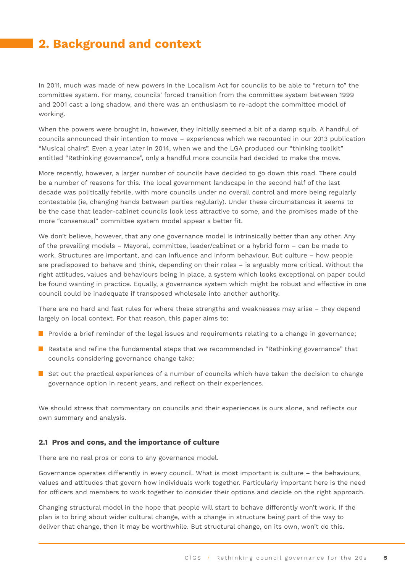### <span id="page-4-0"></span>**2. Background and context**

In 2011, much was made of new powers in the Localism Act for councils to be able to "return to" the committee system. For many, councils' forced transition from the committee system between 1999 and 2001 cast a long shadow, and there was an enthusiasm to re-adopt the committee model of working.

When the powers were brought in, however, they initially seemed a bit of a damp squib. A handful of councils announced their intention to move – experiences which we recounted in our 2013 publication "Musical chairs". Even a year later in 2014, when we and the LGA produced our "thinking toolkit" entitled "Rethinking governance", only a handful more councils had decided to make the move.

More recently, however, a larger number of councils have decided to go down this road. There could be a number of reasons for this. The local government landscape in the second half of the last decade was politically febrile, with more councils under no overall control and more being regularly contestable (ie, changing hands between parties regularly). Under these circumstances it seems to be the case that leader-cabinet councils look less attractive to some, and the promises made of the more "consensual" committee system model appear a better fit.

We don't believe, however, that any one governance model is intrinsically better than any other. Any of the prevailing models – Mayoral, committee, leader/cabinet or a hybrid form – can be made to work. Structures are important, and can influence and inform behaviour. But culture – how people are predisposed to behave and think, depending on their roles – is arguably more critical. Without the right attitudes, values and behaviours being in place, a system which looks exceptional on paper could be found wanting in practice. Equally, a governance system which might be robust and effective in one council could be inadequate if transposed wholesale into another authority.

There are no hard and fast rules for where these strengths and weaknesses may arise – they depend largely on local context. For that reason, this paper aims to:

- **Provide a brief reminder of the legal issues and requirements relating to a change in governance;**
- **Restate and refine the fundamental steps that we recommended in "Rethinking governance" that** councils considering governance change take;
- $\blacksquare$  Set out the practical experiences of a number of councils which have taken the decision to change governance option in recent years, and reflect on their experiences.

We should stress that commentary on councils and their experiences is ours alone, and reflects our own summary and analysis.

#### **2.1 Pros and cons, and the importance of culture**

There are no real pros or cons to any governance model.

Governance operates differently in every council. What is most important is culture – the behaviours, values and attitudes that govern how individuals work together. Particularly important here is the need for officers and members to work together to consider their options and decide on the right approach.

Changing structural model in the hope that people will start to behave differently won't work. If the plan is to bring about wider cultural change, with a change in structure being part of the way to deliver that change, then it may be worthwhile. But structural change, on its own, won't do this.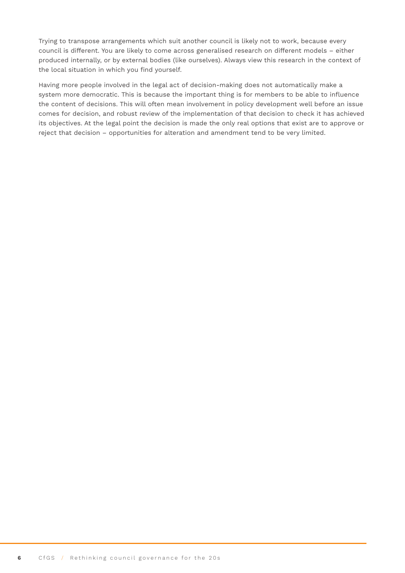Trying to transpose arrangements which suit another council is likely not to work, because every council is different. You are likely to come across generalised research on different models – either produced internally, or by external bodies (like ourselves). Always view this research in the context of the local situation in which you find yourself.

Having more people involved in the legal act of decision-making does not automatically make a system more democratic. This is because the important thing is for members to be able to influence the content of decisions. This will often mean involvement in policy development well before an issue comes for decision, and robust review of the implementation of that decision to check it has achieved its objectives. At the legal point the decision is made the only real options that exist are to approve or reject that decision – opportunities for alteration and amendment tend to be very limited.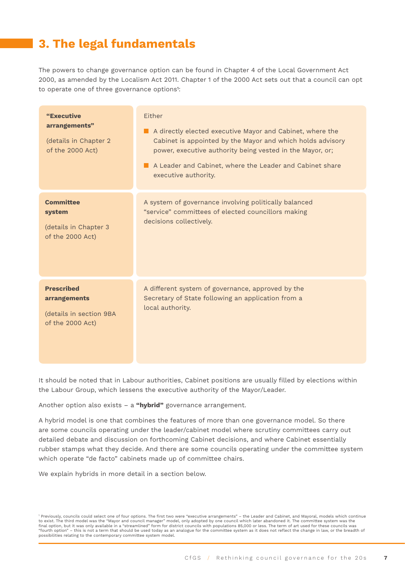## <span id="page-6-0"></span>**3. The legal fundamentals**

The powers to change governance option can be found in Chapter 4 of the Local Government Act 2000, as amended by the Localism Act 2011. Chapter 1 of the 2000 Act sets out that a council can opt to operate one of three governance options<sup>1</sup>:

| "Executive<br>arrangements"<br>(details in Chapter 2<br>of the 2000 Act)         | Fither<br>A directly elected executive Mayor and Cabinet, where the<br>Cabinet is appointed by the Mayor and which holds advisory<br>power, executive authority being vested in the Mayor, or;<br>A Leader and Cabinet, where the Leader and Cabinet share<br>executive authority. |
|----------------------------------------------------------------------------------|------------------------------------------------------------------------------------------------------------------------------------------------------------------------------------------------------------------------------------------------------------------------------------|
| <b>Committee</b><br>system<br>(details in Chapter 3<br>of the 2000 Act)          | A system of governance involving politically balanced<br>"service" committees of elected councillors making<br>decisions collectively.                                                                                                                                             |
| <b>Prescribed</b><br>arrangements<br>(details in section 9BA<br>of the 2000 Act) | A different system of governance, approved by the<br>Secretary of State following an application from a<br>local authority.                                                                                                                                                        |

It should be noted that in Labour authorities, Cabinet positions are usually filled by elections within the Labour Group, which lessens the executive authority of the Mayor/Leader.

Another option also exists – a **"hybrid"** governance arrangement.

A hybrid model is one that combines the features of more than one governance model. So there are some councils operating under the leader/cabinet model where scrutiny committees carry out detailed debate and discussion on forthcoming Cabinet decisions, and where Cabinet essentially rubber stamps what they decide. And there are some councils operating under the committee system which operate "de facto" cabinets made up of committee chairs.

We explain hybrids in more detail in a section below.

<sup>1</sup> Previously, councils could select one of four options. The first two were "executive arrangements" – the Leader and Cabinet, and Mayoral, models which continue to exist. The third model was the "Mayor and council manager" model, only adopted by one council which later abandoned it. The committee system was the<br>final option, but it was only available in a "streamlined" form for di "fourth option" – this is not a term that should be used today as an analogue for the committee system as it does not reflect the change in law, or the breadth of<br>possibilities relating to the contemporary committee system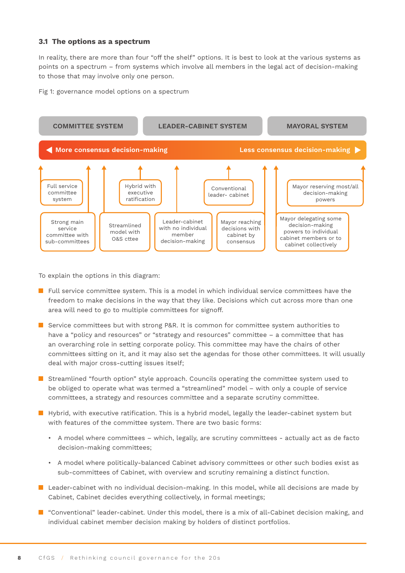#### **3.1 The options as a spectrum**

In reality, there are more than four "off the shelf" options. It is best to look at the various systems as points on a spectrum – from systems which involve all members in the legal act of decision-making to those that may involve only one person.

Fig 1: governance model options on a spectrum



To explain the options in this diagram:

- $\blacksquare$  Full service committee system. This is a model in which individual service committees have the freedom to make decisions in the way that they like. Decisions which cut across more than one area will need to go to multiple committees for signoff.
- **Service committees but with strong P&R. It is common for committee system authorities to** have a "policy and resources" or "strategy and resources" committee – a committee that has an overarching role in setting corporate policy. This committee may have the chairs of other committees sitting on it, and it may also set the agendas for those other committees. It will usually deal with major cross-cutting issues itself;
- **Streamlined "fourth option" style approach. Councils operating the committee system used to** be obliged to operate what was termed a "streamlined" model – with only a couple of service committees, a strategy and resources committee and a separate scrutiny committee.
- Hybrid, with executive ratification. This is a hybrid model, legally the leader-cabinet system but with features of the committee system. There are two basic forms:
	- A model where committees which, legally, are scrutiny committees actually act as de facto decision-making committees;
	- A model where politically-balanced Cabinet advisory committees or other such bodies exist as sub-committees of Cabinet, with overview and scrutiny remaining a distinct function.
- **Leader-cabinet with no individual decision-making. In this model, while all decisions are made by** Cabinet, Cabinet decides everything collectively, in formal meetings;
- **I** "Conventional" leader-cabinet. Under this model, there is a mix of all-Cabinet decision making, and individual cabinet member decision making by holders of distinct portfolios.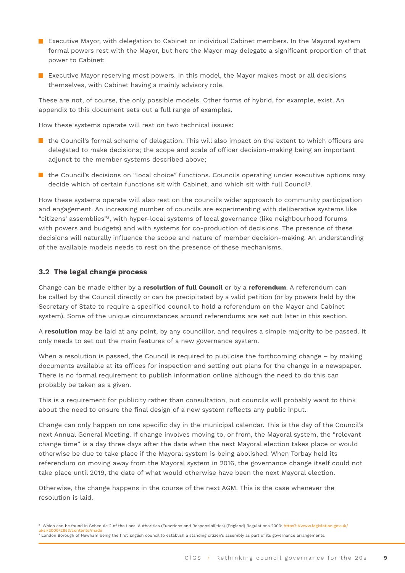- **EXECUTER MAYS EXECUTER MAY** Executive Mayor, with delegation to Cabinet condividual Cabinet members. In the Mayoral system formal powers rest with the Mayor, but here the Mayor may delegate a significant proportion of that power to Cabinet;
- **EXECUTER MALLET EXECUTER IN EXECUTER** Executive Mayor makes most or all decisions themselves, with Cabinet having a mainly advisory role.

These are not, of course, the only possible models. Other forms of hybrid, for example, exist. An appendix to this document sets out a full range of examples.

How these systems operate will rest on two technical issues:

- $\blacksquare$  the Council's formal scheme of delegation. This will also impact on the extent to which officers are delegated to make decisions; the scope and scale of officer decision-making being an important adjunct to the member systems described above;
- $\blacksquare$  the Council's decisions on "local choice" functions. Councils operating under executive options may decide which of certain functions sit with Cabinet, and which sit with full Council2.

How these systems operate will also rest on the council's wider approach to community participation and engagement. An increasing number of councils are experimenting with deliberative systems like "citizens' assemblies"3, with hyper-local systems of local governance (like neighbourhood forums with powers and budgets) and with systems for co-production of decisions. The presence of these decisions will naturally influence the scope and nature of member decision-making. An understanding of the available models needs to rest on the presence of these mechanisms.

#### **3.2 The legal change process**

Change can be made either by a **resolution of full Council** or by a **referendum**. A referendum can be called by the Council directly or can be precipitated by a valid petition (or by powers held by the Secretary of State to require a specified council to hold a referendum on the Mayor and Cabinet system). Some of the unique circumstances around referendums are set out later in this section.

A **resolution** may be laid at any point, by any councillor, and requires a simple majority to be passed. It only needs to set out the main features of a new governance system.

When a resolution is passed, the Council is required to publicise the forthcoming change – by making documents available at its offices for inspection and setting out plans for the change in a newspaper. There is no formal requirement to publish information online although the need to do this can probably be taken as a given.

This is a requirement for publicity rather than consultation, but councils will probably want to think about the need to ensure the final design of a new system reflects any public input.

Change can only happen on one specific day in the municipal calendar. This is the day of the Council's next Annual General Meeting. If change involves moving to, or from, the Mayoral system, the "relevant change time" is a day three days after the date when the next Mayoral election takes place or would otherwise be due to take place if the Mayoral system is being abolished. When Torbay held its referendum on moving away from the Mayoral system in 2016, the governance change itself could not take place until 2019, the date of what would otherwise have been the next Mayoral election.

Otherwise, the change happens in the course of the next AGM. This is the case whenever the resolution is laid.

<sup>&</sup>lt;sup>2</sup> Which can be found in Schedule 2 of the Local Authorities (Functions and Responsibilities) (England) Regulations 2000: https7://www.legislation.gov.uk/ <mark>uksi/2000/2853/contents/made</mark><br><sup>3</sup> London Borough of Newham being the first English council to establish a standing citizen's assembly as part of its governance arrangements.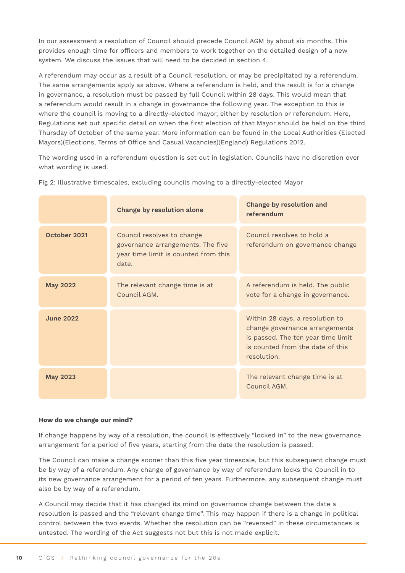In our assessment a resolution of Council should precede Council AGM by about six months. This provides enough time for officers and members to work together on the detailed design of a new system. We discuss the issues that will need to be decided in section 4.

A referendum may occur as a result of a Council resolution, or may be precipitated by a referendum. The same arrangements apply as above. Where a referendum is held, and the result is for a change in governance, a resolution must be passed by full Council within 28 days. This would mean that a referendum would result in a change in governance the following year. The exception to this is where the council is moving to a directly-elected mayor, either by resolution or referendum. Here, Regulations set out specific detail on when the first election of that Mayor should be held on the third Thursday of October of the same year. More information can be found in the Local Authorities (Elected Mayors)(Elections, Terms of Office and Casual Vacancies)(England) Regulations 2012.

The wording used in a referendum question is set out in legislation. Councils have no discretion over what wording is used.

|                  | <b>Change by resolution alone</b>                                                                                | <b>Change by resolution and</b><br>referendum                                                                                                              |
|------------------|------------------------------------------------------------------------------------------------------------------|------------------------------------------------------------------------------------------------------------------------------------------------------------|
| October 2021     | Council resolves to change<br>governance arrangements. The five<br>year time limit is counted from this<br>date. | Council resolves to hold a<br>referendum on governance change                                                                                              |
| <b>May 2022</b>  | The relevant change time is at<br>Council AGM.                                                                   | A referendum is held. The public<br>vote for a change in governance.                                                                                       |
| <b>June 2022</b> |                                                                                                                  | Within 28 days, a resolution to<br>change governance arrangements<br>is passed. The ten year time limit<br>is counted from the date of this<br>resolution. |
| <b>May 2023</b>  |                                                                                                                  | The relevant change time is at<br>Council AGM.                                                                                                             |

Fig 2: illustrative timescales, excluding councils moving to a directly-elected Mayor

#### **How do we change our mind?**

If change happens by way of a resolution, the council is effectively "locked in" to the new governance arrangement for a period of five years, starting from the date the resolution is passed.

The Council can make a change sooner than this five year timescale, but this subsequent change must be by way of a referendum. Any change of governance by way of referendum locks the Council in to its new governance arrangement for a period of ten years. Furthermore, any subsequent change must also be by way of a referendum.

A Council may decide that it has changed its mind on governance change between the date a resolution is passed and the "relevant change time". This may happen if there is a change in political control between the two events. Whether the resolution can be "reversed" in these circumstances is untested. The wording of the Act suggests not but this is not made explicit.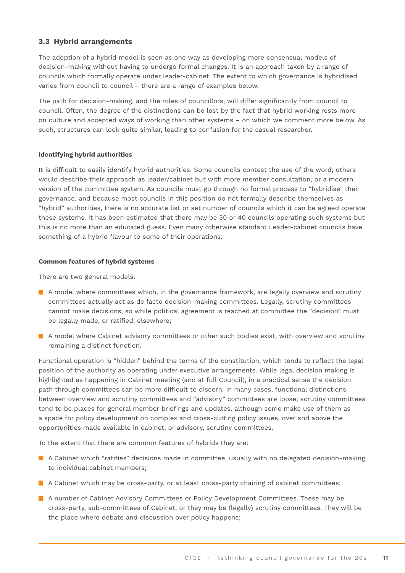#### **3.3 Hybrid arrangements**

The adoption of a hybrid model is seen as one way as developing more consensual models of decision-making without having to undergo formal changes. It is an approach taken by a range of councils which formally operate under leader-cabinet. The extent to which governance is hybridised varies from council to council – there are a range of examples below.

The path for decision-making, and the roles of councillors, will differ significantly from council to council. Often, the degree of the distinctions can be lost by the fact that hybrid working rests more on culture and accepted ways of working than other systems – on which we comment more below. As such, structures can look quite similar, leading to confusion for the casual researcher.

#### **Identifying hybrid authorities**

It is difficult to easily identify hybrid authorities. Some councils contest the use of the word; others would describe their approach as leader/cabinet but with more member consultation, or a modern version of the committee system. As councils must go through no formal process to "hybridise" their governance, and because most councils in this position do not formally describe themselves as "hybrid" authorities, there is no accurate list or set number of councils which it can be agreed operate these systems. It has been estimated that there may be 30 or 40 councils operating such systems but this is no more than an educated guess. Even many otherwise standard Leader-cabinet councils have something of a hybrid flavour to some of their operations.

#### **Common features of hybrid systems**

There are two general models:

- $\blacksquare$  A model where committees which, in the governance framework, are legally overview and scrutiny committees actually act as de facto decision-making committees. Legally, scrutiny committees cannot make decisions, so while political agreement is reached at committee the "decision" must be legally made, or ratified, elsewhere;
- A model where Cabinet advisory committees or other such bodies exist, with overview and scrutiny remaining a distinct function.

Functional operation is "hidden" behind the terms of the constitution, which tends to reflect the legal position of the authority as operating under executive arrangements. While legal decision making is highlighted as happening in Cabinet meeting (and at full Council), in a practical sense the decision path through committees can be more difficult to discern. In many cases, functional distinctions between overview and scrutiny committees and "advisory" committees are loose; scrutiny committees tend to be places for general member briefings and updates, although some make use of them as a space for policy development on complex and cross-cutting policy issues, over and above the opportunities made available in cabinet, or advisory, scrutiny committees.

To the extent that there are common features of hybrids they are:

- **A** A Cabinet which "ratifies" decisions made in committee, usually with no delegated decision-making to individual cabinet members;
- $\blacksquare$  A Cabinet which may be cross-party, or at least cross-party chairing of cabinet committees;
- A number of Cabinet Advisory Committees or Policy Development Committees. These may be cross-party, sub-committees of Cabinet, or they may be (legally) scrutiny committees. They will be the place where debate and discussion over policy happens;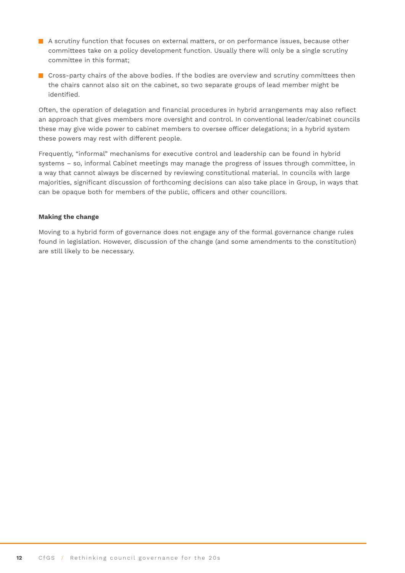- A scrutiny function that focuses on external matters, or on performance issues, because other committees take on a policy development function. Usually there will only be a single scrutiny committee in this format;
- **C** Cross-party chairs of the above bodies. If the bodies are overview and scrutiny committees then the chairs cannot also sit on the cabinet, so two separate groups of lead member might be identified.

Often, the operation of delegation and financial procedures in hybrid arrangements may also reflect an approach that gives members more oversight and control. In conventional leader/cabinet councils these may give wide power to cabinet members to oversee officer delegations; in a hybrid system these powers may rest with different people.

Frequently, "informal" mechanisms for executive control and leadership can be found in hybrid systems – so, informal Cabinet meetings may manage the progress of issues through committee, in a way that cannot always be discerned by reviewing constitutional material. In councils with large majorities, significant discussion of forthcoming decisions can also take place in Group, in ways that can be opaque both for members of the public, officers and other councillors.

#### **Making the change**

Moving to a hybrid form of governance does not engage any of the formal governance change rules found in legislation. However, discussion of the change (and some amendments to the constitution) are still likely to be necessary.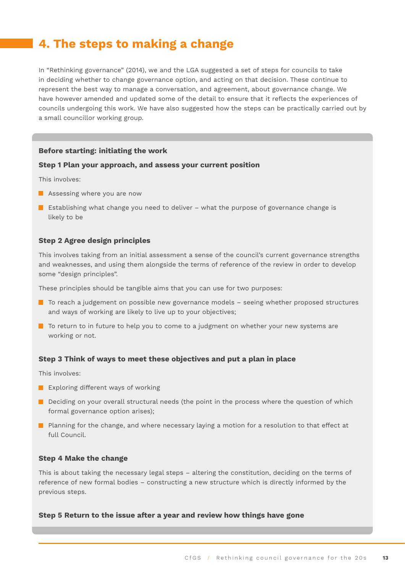## <span id="page-12-0"></span>**4. The steps to making a change**

In "Rethinking governance" (2014), we and the LGA suggested a set of steps for councils to take in deciding whether to change governance option, and acting on that decision. These continue to represent the best way to manage a conversation, and agreement, about governance change. We have however amended and updated some of the detail to ensure that it reflects the experiences of councils undergoing this work. We have also suggested how the steps can be practically carried out by a small councillor working group.

#### **Before starting: initiating the work**

#### **Step 1 Plan your approach, and assess your current position**

This involves:

- **Assessing where you are now**
- **E** Establishing what change you need to deliver what the purpose of governance change is likely to be

#### **Step 2 Agree design principles**

This involves taking from an initial assessment a sense of the council's current governance strengths and weaknesses, and using them alongside the terms of reference of the review in order to develop some "design principles".

These principles should be tangible aims that you can use for two purposes:

- **T** To reach a judgement on possible new governance models seeing whether proposed structures and ways of working are likely to live up to your objectives;
- $\blacksquare$  To return to in future to help you to come to a judgment on whether your new systems are working or not.

#### **Step 3 Think of ways to meet these objectives and put a plan in place**

This involves:

- $\blacksquare$  Exploring different ways of working
- Deciding on your overall structural needs (the point in the process where the question of which formal governance option arises);
- **Planning for the change, and where necessary laying a motion for a resolution to that effect at** full Council.

#### **Step 4 Make the change**

This is about taking the necessary legal steps – altering the constitution, deciding on the terms of reference of new formal bodies – constructing a new structure which is directly informed by the previous steps.

#### **Step 5 Return to the issue after a year and review how things have gone**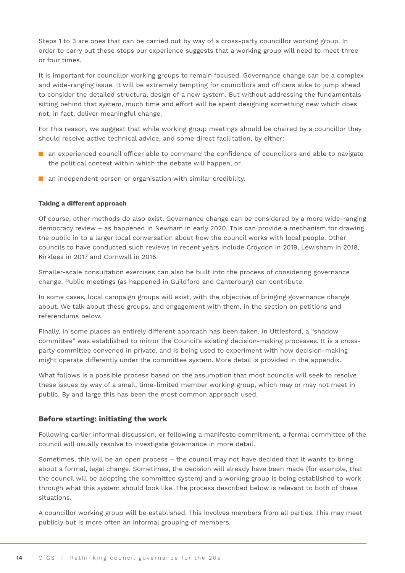Steps 1 to 3 are ones that can be carried out by way of a cross-party councillor working group. In order to carry out these steps our experience suggests that a working group will need to meet three or four times.

It is important for councillor working groups to remain focused. Governance change can be a complex and wide-ranging issue. It will be extremely tempting for councillors and officers alike to jump ahead to consider the detailed structural design of a new system. But without addressing the fundamentals sitting behind that system, much time and effort will be spent designing something new which does not, in fact, deliver meaningful change.

For this reason, we suggest that while working group meetings should be chaired by a councillor they should receive active technical advice, and some direct facilitation, by either:

- $\blacksquare$  an experienced council officer able to command the confidence of councillors and able to navigate the political context within which the debate will happen, or
- **an independent person or organisation with similar credibility.**

#### **Taking a different approach**

Of course, other methods do also exist. Governance change can be considered by a more wide-ranging democracy review – as happened in Newham in early 2020. This can provide a mechanism for drawing the public in to a larger local conversation about how the council works with local people. Other councils to have conducted such reviews in recent years include Croydon in 2019, Lewisham in 2018, Kirklees in 2017 and Cornwall in 2016.

Smaller-scale consultation exercises can also be built into the process of considering governance change. Public meetings (as happened in Guildford and Canterbury) can contribute.

In some cases, local campaign groups will exist, with the objective of bringing governance change about. We talk about these groups, and engagement with them, in the section on petitions and referendums below.

Finally, in some places an entirely different approach has been taken. In Uttlesford, a "shadow committee" was established to mirror the Council's existing decision-making processes. It is a crossparty committee convened in private, and is being used to experiment with how decision-making might operate differently under the committee system. More detail is provided in the appendix.

What follows is a possible process based on the assumption that most councils will seek to resolve these issues by way of a small, time-limited member working group, which may or may not meet in public. By and large this has been the most common approach used.

#### **Before starting: initiating the work**

Following earlier informal discussion, or following a manifesto commitment, a formal committee of the council will usually resolve to investigate governance in more detail.

Sometimes, this will be an open process – the council may not have decided that it wants to bring about a formal, legal change. Sometimes, the decision will already have been made (for example, that the council will be adopting the committee system) and a working group is being established to work through what this system should look like. The process described below is relevant to both of these situations.

A councillor working group will be established. This involves members from all parties. This may meet publicly but is more often an informal grouping of members.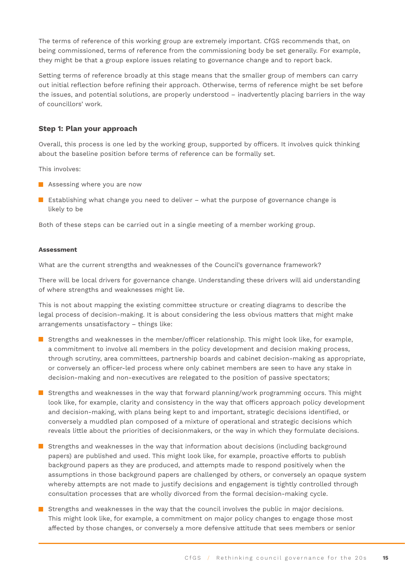The terms of reference of this working group are extremely important. CfGS recommends that, on being commissioned, terms of reference from the commissioning body be set generally. For example, they might be that a group explore issues relating to governance change and to report back.

Setting terms of reference broadly at this stage means that the smaller group of members can carry out initial reflection before refining their approach. Otherwise, terms of reference might be set before the issues, and potential solutions, are properly understood – inadvertently placing barriers in the way of councillors' work.

#### **Step 1: Plan your approach**

Overall, this process is one led by the working group, supported by officers. It involves quick thinking about the baseline position before terms of reference can be formally set.

This involves:

- **Assessing where you are now**
- **E** Establishing what change you need to deliver what the purpose of governance change is likely to be

Both of these steps can be carried out in a single meeting of a member working group.

#### **Assessment**

What are the current strengths and weaknesses of the Council's governance framework?

There will be local drivers for governance change. Understanding these drivers will aid understanding of where strengths and weaknesses might lie.

This is not about mapping the existing committee structure or creating diagrams to describe the legal process of decision-making. It is about considering the less obvious matters that might make arrangements unsatisfactory – things like:

- Strengths and weaknesses in the member/officer relationship. This might look like, for example, a commitment to involve all members in the policy development and decision making process, through scrutiny, area committees, partnership boards and cabinet decision-making as appropriate, or conversely an officer-led process where only cabinet members are seen to have any stake in decision-making and non-executives are relegated to the position of passive spectators;
- Strengths and weaknesses in the way that forward planning/work programming occurs. This might look like, for example, clarity and consistency in the way that officers approach policy development and decision-making, with plans being kept to and important, strategic decisions identified, or conversely a muddled plan composed of a mixture of operational and strategic decisions which reveals little about the priorities of decisionmakers, or the way in which they formulate decisions.
- **Strengths and weaknesses in the way that information about decisions (including background** papers) are published and used. This might look like, for example, proactive efforts to publish background papers as they are produced, and attempts made to respond positively when the assumptions in those background papers are challenged by others, or conversely an opaque system whereby attempts are not made to justify decisions and engagement is tightly controlled through consultation processes that are wholly divorced from the formal decision-making cycle.
- **Strengths and weaknesses in the way that the council involves the public in major decisions.** This might look like, for example, a commitment on major policy changes to engage those most affected by those changes, or conversely a more defensive attitude that sees members or senior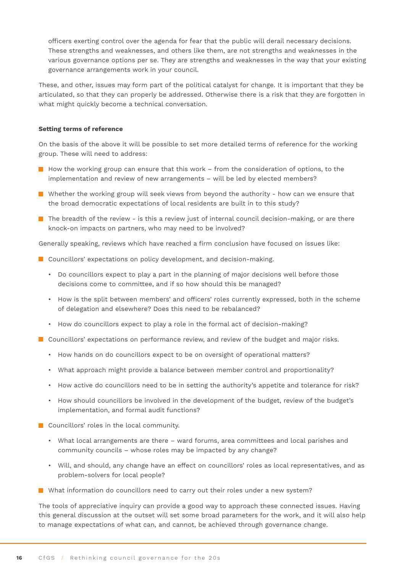officers exerting control over the agenda for fear that the public will derail necessary decisions. These strengths and weaknesses, and others like them, are not strengths and weaknesses in the various governance options per se. They are strengths and weaknesses in the way that your existing governance arrangements work in your council.

These, and other, issues may form part of the political catalyst for change. It is important that they be articulated, so that they can properly be addressed. Otherwise there is a risk that they are forgotten in what might quickly become a technical conversation.

#### **Setting terms of reference**

On the basis of the above it will be possible to set more detailed terms of reference for the working group. These will need to address:

- $\blacksquare$  How the working group can ensure that this work from the consideration of options, to the implementation and review of new arrangements – will be led by elected members?
- **N** Whether the working group will seek views from beyond the authority how can we ensure that the broad democratic expectations of local residents are built in to this study?
- $\blacksquare$  The breadth of the review is this a review just of internal council decision-making, or are there knock-on impacts on partners, who may need to be involved?

Generally speaking, reviews which have reached a firm conclusion have focused on issues like:

- Councillors' expectations on policy development, and decision-making.
	- Do councillors expect to play a part in the planning of major decisions well before those decisions come to committee, and if so how should this be managed?
	- How is the split between members' and officers' roles currently expressed, both in the scheme of delegation and elsewhere? Does this need to be rebalanced?
	- How do councillors expect to play a role in the formal act of decision-making?
- **Councillors' expectations on performance review, and review of the budget and major risks.** 
	- How hands on do councillors expect to be on oversight of operational matters?
	- What approach might provide a balance between member control and proportionality?
	- How active do councillors need to be in setting the authority's appetite and tolerance for risk?
	- How should councillors be involved in the development of the budget, review of the budget's implementation, and formal audit functions?
- Councillors' roles in the local community.
	- What local arrangements are there ward forums, area committees and local parishes and community councils – whose roles may be impacted by any change?
	- Will, and should, any change have an effect on councillors' roles as local representatives, and as problem-solvers for local people?
- What information do councillors need to carry out their roles under a new system?

The tools of appreciative inquiry can provide a good way to approach these connected issues. Having this general discussion at the outset will set some broad parameters for the work, and it will also help to manage expectations of what can, and cannot, be achieved through governance change.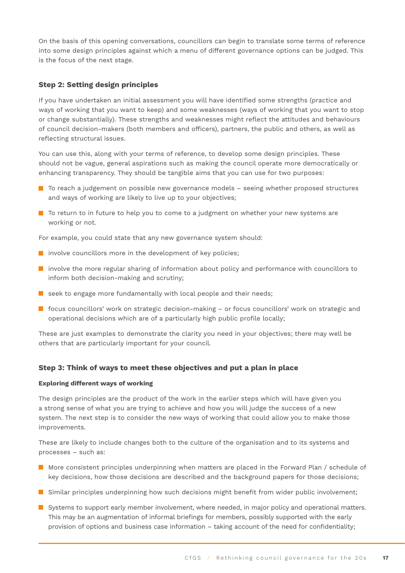On the basis of this opening conversations, councillors can begin to translate some terms of reference into some design principles against which a menu of different governance options can be judged. This is the focus of the next stage.

#### **Step 2: Setting design principles**

If you have undertaken an initial assessment you will have identified some strengths (practice and ways of working that you want to keep) and some weaknesses (ways of working that you want to stop or change substantially). These strengths and weaknesses might reflect the attitudes and behaviours of council decision-makers (both members and officers), partners, the public and others, as well as reflecting structural issues.

You can use this, along with your terms of reference, to develop some design principles. These should not be vague, general aspirations such as making the council operate more democratically or enhancing transparency. They should be tangible aims that you can use for two purposes:

- To reach a judgement on possible new governance models seeing whether proposed structures and ways of working are likely to live up to your objectives;
- $\blacksquare$  To return to in future to help you to come to a judgment on whether your new systems are working or not.

For example, you could state that any new governance system should:

- $\blacksquare$  involve councillors more in the development of key policies;
- **I** involve the more regular sharing of information about policy and performance with councillors to inform both decision-making and scrutiny;
- seek to engage more fundamentally with local people and their needs;
- $\blacksquare$  focus councillors' work on strategic decision-making or focus councillors' work on strategic and operational decisions which are of a particularly high public profile locally;

These are just examples to demonstrate the clarity you need in your objectives; there may well be others that are particularly important for your council.

#### **Step 3: Think of ways to meet these objectives and put a plan in place**

#### **Exploring different ways of working**

The design principles are the product of the work in the earlier steps which will have given you a strong sense of what you are trying to achieve and how you will judge the success of a new system. The next step is to consider the new ways of working that could allow you to make those improvements.

These are likely to include changes both to the culture of the organisation and to its systems and processes – such as:

- More consistent principles underpinning when matters are placed in the Forward Plan / schedule of key decisions, how those decisions are described and the background papers for those decisions;
- **S** Similar principles underpinning how such decisions might benefit from wider public involvement;
- Systems to support early member involvement, where needed, in major policy and operational matters. This may be an augmentation of informal briefings for members, possibly supported with the early provision of options and business case information – taking account of the need for confidentiality;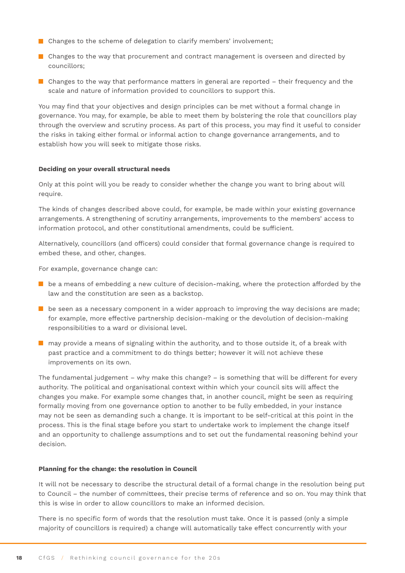- Changes to the scheme of delegation to clarify members' involvement;
- Changes to the way that procurement and contract management is overseen and directed by councillors;
- $\blacksquare$  Changes to the way that performance matters in general are reported their frequency and the scale and nature of information provided to councillors to support this.

You may find that your objectives and design principles can be met without a formal change in governance. You may, for example, be able to meet them by bolstering the role that councillors play through the overview and scrutiny process. As part of this process, you may find it useful to consider the risks in taking either formal or informal action to change governance arrangements, and to establish how you will seek to mitigate those risks.

#### **Deciding on your overall structural needs**

Only at this point will you be ready to consider whether the change you want to bring about will require.

The kinds of changes described above could, for example, be made within your existing governance arrangements. A strengthening of scrutiny arrangements, improvements to the members' access to information protocol, and other constitutional amendments, could be sufficient.

Alternatively, councillors (and officers) could consider that formal governance change is required to embed these, and other, changes.

For example, governance change can:

- $\blacksquare$  be a means of embedding a new culture of decision-making, where the protection afforded by the law and the constitution are seen as a backstop.
- $\blacksquare$  be seen as a necessary component in a wider approach to improving the way decisions are made; for example, more effective partnership decision-making or the devolution of decision-making responsibilities to a ward or divisional level.
- $\blacksquare$  may provide a means of signaling within the authority, and to those outside it, of a break with past practice and a commitment to do things better; however it will not achieve these improvements on its own.

The fundamental judgement – why make this change? – is something that will be different for every authority. The political and organisational context within which your council sits will affect the changes you make. For example some changes that, in another council, might be seen as requiring formally moving from one governance option to another to be fully embedded, in your instance may not be seen as demanding such a change. It is important to be self-critical at this point in the process. This is the final stage before you start to undertake work to implement the change itself and an opportunity to challenge assumptions and to set out the fundamental reasoning behind your decision.

#### **Planning for the change: the resolution in Council**

It will not be necessary to describe the structural detail of a formal change in the resolution being put to Council – the number of committees, their precise terms of reference and so on. You may think that this is wise in order to allow councillors to make an informed decision.

There is no specific form of words that the resolution must take. Once it is passed (only a simple majority of councillors is required) a change will automatically take effect concurrently with your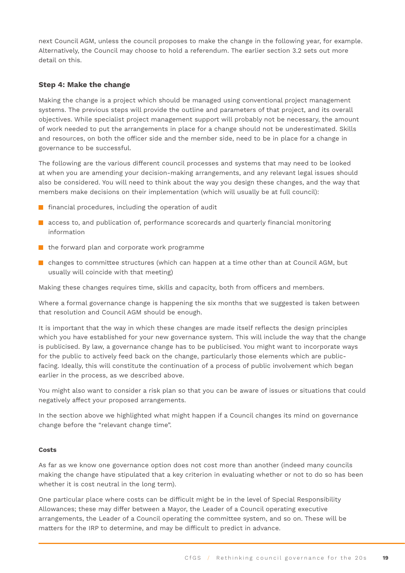next Council AGM, unless the council proposes to make the change in the following year, for example. Alternatively, the Council may choose to hold a referendum. The earlier section 3.2 sets out more detail on this.

#### **Step 4: Make the change**

Making the change is a project which should be managed using conventional project management systems. The previous steps will provide the outline and parameters of that project, and its overall objectives. While specialist project management support will probably not be necessary, the amount of work needed to put the arrangements in place for a change should not be underestimated. Skills and resources, on both the officer side and the member side, need to be in place for a change in governance to be successful.

The following are the various different council processes and systems that may need to be looked at when you are amending your decision-making arrangements, and any relevant legal issues should also be considered. You will need to think about the way you design these changes, and the way that members make decisions on their implementation (which will usually be at full council):

- **F** financial procedures, including the operation of audit
- **a** access to, and publication of, performance scorecards and quarterly financial monitoring information
- $\blacksquare$  the forward plan and corporate work programme
- **E** changes to committee structures (which can happen at a time other than at Council AGM, but usually will coincide with that meeting)

Making these changes requires time, skills and capacity, both from officers and members.

Where a formal governance change is happening the six months that we suggested is taken between that resolution and Council AGM should be enough.

It is important that the way in which these changes are made itself reflects the design principles which you have established for your new governance system. This will include the way that the change is publicised. By law, a governance change has to be publicised. You might want to incorporate ways for the public to actively feed back on the change, particularly those elements which are publicfacing. Ideally, this will constitute the continuation of a process of public involvement which began earlier in the process, as we described above.

You might also want to consider a risk plan so that you can be aware of issues or situations that could negatively affect your proposed arrangements.

In the section above we highlighted what might happen if a Council changes its mind on governance change before the "relevant change time".

#### **Costs**

As far as we know one governance option does not cost more than another (indeed many councils making the change have stipulated that a key criterion in evaluating whether or not to do so has been whether it is cost neutral in the long term).

One particular place where costs can be difficult might be in the level of Special Responsibility Allowances; these may differ between a Mayor, the Leader of a Council operating executive arrangements, the Leader of a Council operating the committee system, and so on. These will be matters for the IRP to determine, and may be difficult to predict in advance.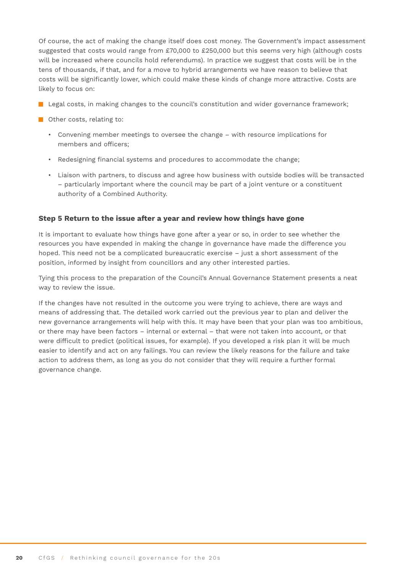Of course, the act of making the change itself does cost money. The Government's impact assessment suggested that costs would range from £70,000 to £250,000 but this seems very high (although costs will be increased where councils hold referendums). In practice we suggest that costs will be in the tens of thousands, if that, and for a move to hybrid arrangements we have reason to believe that costs will be significantly lower, which could make these kinds of change more attractive. Costs are likely to focus on:

- Legal costs, in making changes to the council's constitution and wider governance framework;
- **Other costs, relating to:** 
	- Convening member meetings to oversee the change with resource implications for members and officers;
	- Redesigning financial systems and procedures to accommodate the change;
	- Liaison with partners, to discuss and agree how business with outside bodies will be transacted – particularly important where the council may be part of a joint venture or a constituent authority of a Combined Authority.

#### **Step 5 Return to the issue after a year and review how things have gone**

It is important to evaluate how things have gone after a year or so, in order to see whether the resources you have expended in making the change in governance have made the difference you hoped. This need not be a complicated bureaucratic exercise – just a short assessment of the position, informed by insight from councillors and any other interested parties.

Tying this process to the preparation of the Council's Annual Governance Statement presents a neat way to review the issue.

If the changes have not resulted in the outcome you were trying to achieve, there are ways and means of addressing that. The detailed work carried out the previous year to plan and deliver the new governance arrangements will help with this. It may have been that your plan was too ambitious, or there may have been factors – internal or external – that were not taken into account, or that were difficult to predict (political issues, for example). If you developed a risk plan it will be much easier to identify and act on any failings. You can review the likely reasons for the failure and take action to address them, as long as you do not consider that they will require a further formal governance change.